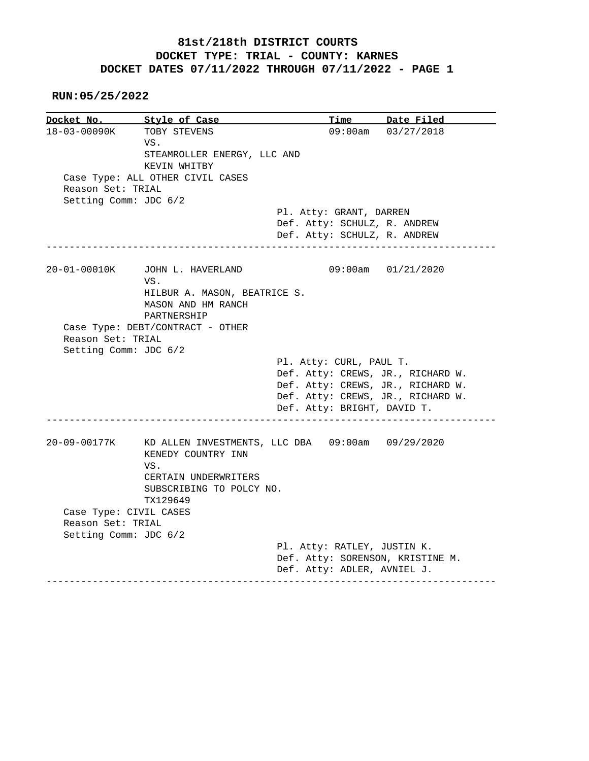## **81st/218th DISTRICT COURTS DOCKET TYPE: TRIAL - COUNTY: KARNES DOCKET DATES 07/11/2022 THROUGH 07/11/2022 - PAGE 1**

 **RUN:05/25/2022**

|                        | Style of Case                                      |                                                                 | Time Date Filed         |
|------------------------|----------------------------------------------------|-----------------------------------------------------------------|-------------------------|
| 18-03-00090K           | TOBY STEVENS                                       |                                                                 | $09:00$ am $03/27/2018$ |
|                        | VS.                                                |                                                                 |                         |
|                        | STEAMROLLER ENERGY, LLC AND                        |                                                                 |                         |
|                        | KEVIN WHITBY                                       |                                                                 |                         |
|                        | Case Type: ALL OTHER CIVIL CASES                   |                                                                 |                         |
| Reason Set: TRIAL      |                                                    |                                                                 |                         |
| Setting Comm: JDC 6/2  |                                                    |                                                                 |                         |
|                        |                                                    | Pl. Atty: GRANT, DARREN                                         |                         |
|                        |                                                    | Def. Atty: SCHULZ, R. ANDREW                                    |                         |
|                        |                                                    | Def. Atty: SCHULZ, R. ANDREW                                    |                         |
|                        |                                                    |                                                                 |                         |
| 20-01-00010K           | JOHN L. HAVERLAND                                  |                                                                 | 09:00am 01/21/2020      |
|                        | VS.                                                |                                                                 |                         |
|                        | HILBUR A. MASON, BEATRICE S.                       |                                                                 |                         |
|                        | MASON AND HM RANCH                                 |                                                                 |                         |
|                        | PARTNERSHIP                                        |                                                                 |                         |
|                        | Case Type: DEBT/CONTRACT - OTHER                   |                                                                 |                         |
|                        |                                                    |                                                                 |                         |
|                        |                                                    |                                                                 |                         |
| Reason Set: TRIAL      |                                                    |                                                                 |                         |
| Setting Comm: JDC 6/2  |                                                    |                                                                 |                         |
|                        |                                                    | Pl. Atty: CURL, PAUL T.                                         |                         |
|                        |                                                    | Def. Atty: CREWS, JR., RICHARD W.                               |                         |
|                        |                                                    | Def. Atty: CREWS, JR., RICHARD W.                               |                         |
|                        |                                                    | Def. Atty: CREWS, JR., RICHARD W.                               |                         |
|                        |                                                    | Def. Atty: BRIGHT, DAVID T.                                     |                         |
| 20-09-00177K           | KD ALLEN INVESTMENTS, LLC DBA  09:00am  09/29/2020 |                                                                 |                         |
|                        | KENEDY COUNTRY INN                                 |                                                                 |                         |
|                        | VS.                                                |                                                                 |                         |
|                        | CERTAIN UNDERWRITERS                               |                                                                 |                         |
|                        | SUBSCRIBING TO POLCY NO.                           |                                                                 |                         |
|                        |                                                    |                                                                 |                         |
|                        | TX129649                                           |                                                                 |                         |
| Case Type: CIVIL CASES |                                                    |                                                                 |                         |
| Reason Set: TRIAL      |                                                    |                                                                 |                         |
| Setting Comm: JDC 6/2  |                                                    |                                                                 |                         |
|                        |                                                    | Pl. Atty: RATLEY, JUSTIN K.                                     |                         |
|                        |                                                    | Def. Atty: SORENSON, KRISTINE M.<br>Def. Atty: ADLER, AVNIEL J. |                         |